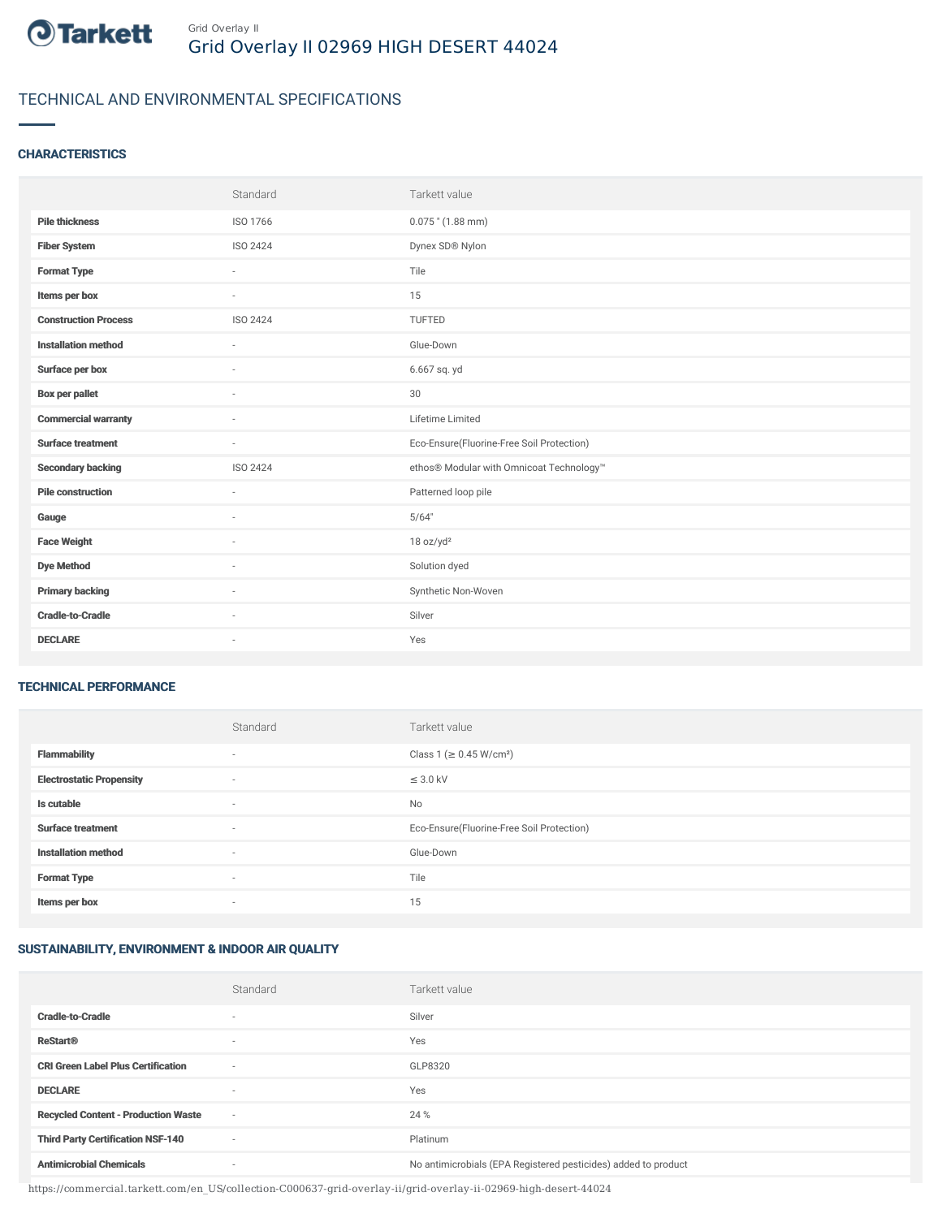

# TECHNICAL AND ENVIRONMENTAL SPECIFICATIONS

### **CHARACTERISTICS**

|                             | Standard        | Tarkett value                             |
|-----------------------------|-----------------|-------------------------------------------|
| <b>Pile thickness</b>       | ISO 1766        | $0.075$ " (1.88 mm)                       |
| <b>Fiber System</b>         | <b>ISO 2424</b> | Dynex SD® Nylon                           |
| <b>Format Type</b>          | $\sim$          | Tile                                      |
| Items per box               | $\sim$          | 15                                        |
| <b>Construction Process</b> | <b>ISO 2424</b> | TUFTED                                    |
| <b>Installation method</b>  | $\sim$          | Glue-Down                                 |
| Surface per box             | ٠               | 6.667 sq. yd                              |
| <b>Box per pallet</b>       | ٠               | 30                                        |
| <b>Commercial warranty</b>  | ٠               | Lifetime Limited                          |
| <b>Surface treatment</b>    | $\sim$          | Eco-Ensure(Fluorine-Free Soil Protection) |
| <b>Secondary backing</b>    | <b>ISO 2424</b> | ethos® Modular with Omnicoat Technology™  |
| <b>Pile construction</b>    | ×.              | Patterned loop pile                       |
| Gauge                       | $\sim$          | 5/64"                                     |
| <b>Face Weight</b>          | $\sim$          | 18 oz/yd <sup>2</sup>                     |
| <b>Dye Method</b>           | $\sim$          | Solution dyed                             |
| <b>Primary backing</b>      | $\sim$          | Synthetic Non-Woven                       |
| <b>Cradle-to-Cradle</b>     | $\sim$          | Silver                                    |
| <b>DECLARE</b>              | ÷               | Yes                                       |

#### TECHNICAL PERFORMANCE

|                                 | Standard                 | Tarkett value                             |
|---------------------------------|--------------------------|-------------------------------------------|
| <b>Flammability</b>             | $\sim$                   | Class 1 (≥ 0.45 W/cm <sup>2</sup> )       |
| <b>Electrostatic Propensity</b> | $\overline{\phantom{a}}$ | $\leq$ 3.0 kV                             |
| Is cutable                      | $\sim$                   | <b>No</b>                                 |
| <b>Surface treatment</b>        | $\sim$                   | Eco-Ensure(Fluorine-Free Soil Protection) |
| <b>Installation method</b>      | $\sim$                   | Glue-Down                                 |
| <b>Format Type</b>              | $\sim$                   | Tile                                      |
| Items per box                   | $\sim$                   | 15                                        |

## SUSTAINABILITY, ENVIRONMENT & INDOOR AIR QUALITY

|                                            | Standard                 | Tarkett value                                                  |
|--------------------------------------------|--------------------------|----------------------------------------------------------------|
| <b>Cradle-to-Cradle</b>                    | ۰                        | Silver                                                         |
| <b>ReStart®</b>                            | ۰                        | Yes                                                            |
| <b>CRI Green Label Plus Certification</b>  | $\sim$                   | GLP8320                                                        |
| <b>DECLARE</b>                             | ۰                        | Yes                                                            |
| <b>Recycled Content - Production Waste</b> | $\overline{\phantom{a}}$ | 24 %                                                           |
| <b>Third Party Certification NSF-140</b>   | $\sim$                   | Platinum                                                       |
| <b>Antimicrobial Chemicals</b>             | ۰                        | No antimicrobials (EPA Registered pesticides) added to product |

https://commercial.tarkett.com/en\_US/collection-C000637-grid-overlay-ii/grid-overlay-ii-02969-high-desert-44024